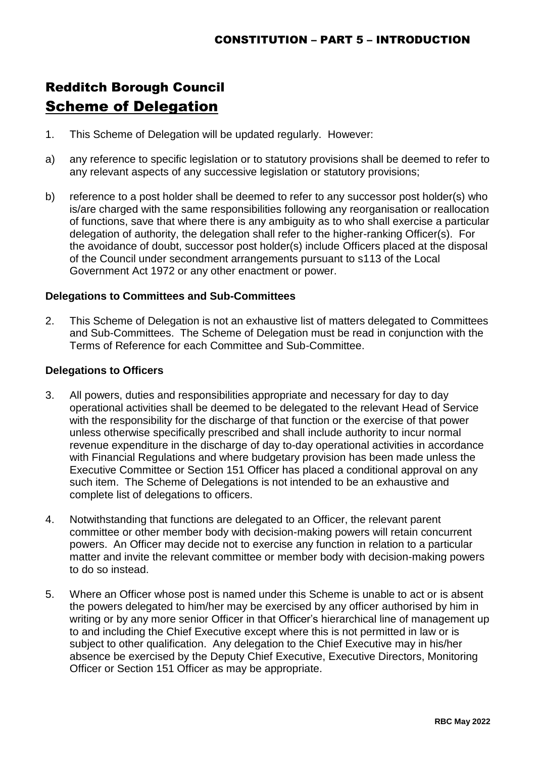## Redditch Borough Council Scheme of Delegation

- 1. This Scheme of Delegation will be updated regularly. However:
- a) any reference to specific legislation or to statutory provisions shall be deemed to refer to any relevant aspects of any successive legislation or statutory provisions;
- b) reference to a post holder shall be deemed to refer to any successor post holder(s) who is/are charged with the same responsibilities following any reorganisation or reallocation of functions, save that where there is any ambiguity as to who shall exercise a particular delegation of authority, the delegation shall refer to the higher-ranking Officer(s). For the avoidance of doubt, successor post holder(s) include Officers placed at the disposal of the Council under secondment arrangements pursuant to s113 of the Local Government Act 1972 or any other enactment or power.

## **Delegations to Committees and Sub-Committees**

2. This Scheme of Delegation is not an exhaustive list of matters delegated to Committees and Sub-Committees. The Scheme of Delegation must be read in conjunction with the Terms of Reference for each Committee and Sub-Committee.

## **Delegations to Officers**

- 3. All powers, duties and responsibilities appropriate and necessary for day to day operational activities shall be deemed to be delegated to the relevant Head of Service with the responsibility for the discharge of that function or the exercise of that power unless otherwise specifically prescribed and shall include authority to incur normal revenue expenditure in the discharge of day to-day operational activities in accordance with Financial Regulations and where budgetary provision has been made unless the Executive Committee or Section 151 Officer has placed a conditional approval on any such item. The Scheme of Delegations is not intended to be an exhaustive and complete list of delegations to officers.
- 4. Notwithstanding that functions are delegated to an Officer, the relevant parent committee or other member body with decision-making powers will retain concurrent powers. An Officer may decide not to exercise any function in relation to a particular matter and invite the relevant committee or member body with decision-making powers to do so instead.
- 5. Where an Officer whose post is named under this Scheme is unable to act or is absent the powers delegated to him/her may be exercised by any officer authorised by him in writing or by any more senior Officer in that Officer's hierarchical line of management up to and including the Chief Executive except where this is not permitted in law or is subject to other qualification. Any delegation to the Chief Executive may in his/her absence be exercised by the Deputy Chief Executive, Executive Directors, Monitoring Officer or Section 151 Officer as may be appropriate.